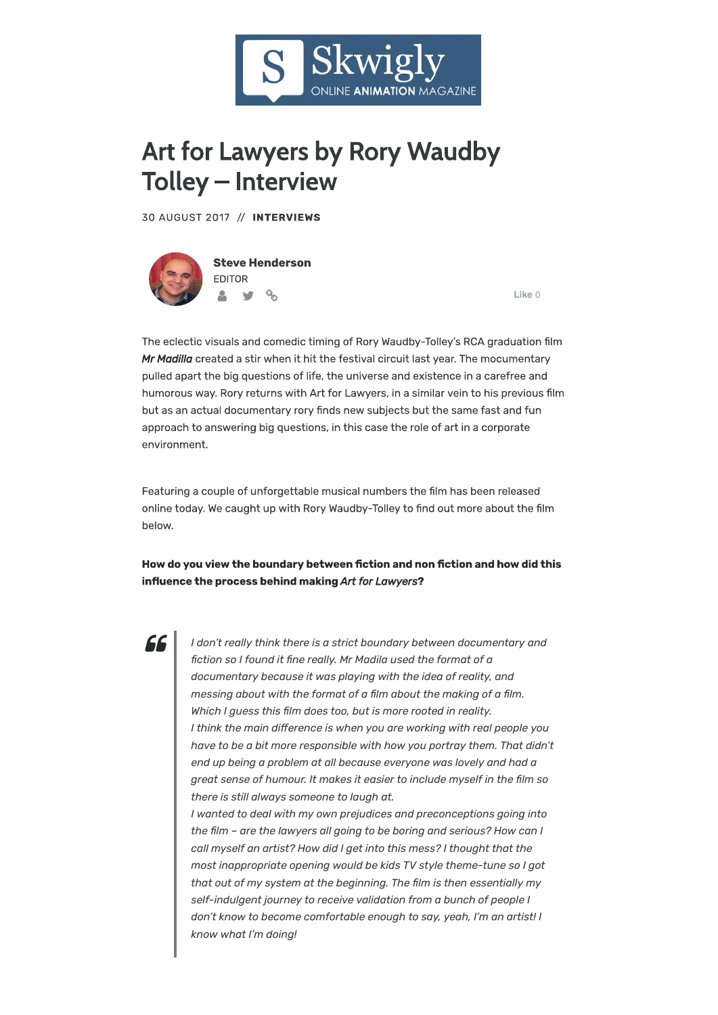

## Art for Lawyers by Rory Waudby Tolley – Interview ALL IOI LAWY CIS DY NOTY VYAUUDY environment.

30 AUGUST 2017 // INTERVIEWS



**Steve Henderson** EDITOR  $\frac{1}{2}$   $\frac{1}{2}$ 

**Like** 0

The eclectic visuals and comedic timing of Rory Waudby-Tolley's RCA graduation film *Mr Madilla* created a stir when it hit the festival circuit last year. The mocumentary pulled apart the big questions of life, the universe and existence in a carefree and humorous way. Rory returns with Art for Lawyers, in a similar vein to his previous film but as an actual documentary rory finds new subjects but the same fast and fun approach to answering big questions, in this case the role of art in a corporate environment.

**Art For Lawyers** Featuring a couple of unforgettable musical numbers the lm has been released online today. We caught up with Rory Waudby-Tolley to find out more about the film below.

## How do you view the boundary between fiction and non fiction and how did this in#uence the process behind making *Art for Lawyers*?



 $\parallel~$  have to be a bit more responsible with how you portray them. That didn't  $\parallel$  and up being a problem at all because everyone was lovely and had a  $\parallel$  1 wanted to deal with my own prejudices and preconceptions going into 08:59 *messing about with the format of a �lm about the making of a �lm. I don't really think there is a strict boundary between documentary and �ction so I found it �ne really. Mr Madila used the format of a documentary because it was playing with the idea of reality, and Which I guess this �lm does too, but is more rooted in reality. I think the main di�erence is when you are working with real people you great sense of humour. It makes it easier to include myself in the �lm so there is still always someone to laugh at.*

 $\parallel$  the film – are the lawyers all going to be boring and serious? How can I *call myself an artist? How did I get into this mess? I thought that the most inappropriate opening would be kids TV style theme-tune so I got that out of my system at the beginning. The �lm is then essentially my self-indulgent journey to receive validation from a bunch of people I don't know to become comfortable enough to say, yeah, I'm an artist! I know what I'm doing!*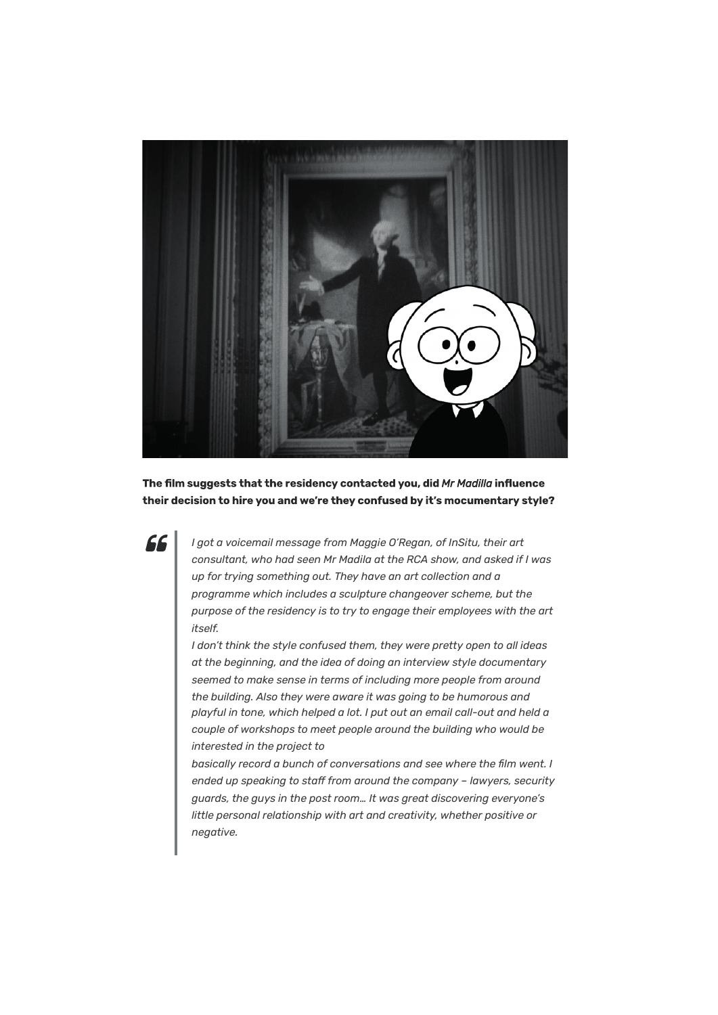

The film suggests that the residency contacted you, did *Mr Madilla* influence their decision to hire you and we're they confused by it's mocumentary style?

66

*I got a voicemail message from Maggie O'Regan, of InSitu, their art consultant, who had seen Mr Madila at the RCA show, and asked if I was up for trying something out. They have an art collection and a programme which includes a sculpture changeover scheme, but the purpose of the residency is to try to engage their employees with the art itself.*

*playful in tone, which helped a lot. I put out an email call-out and held a couple of workshops to meet people around the building who would be interested in the project to I don't think the style confused them, they were pretty open to all ideas at the beginning, and the idea of doing an interview style documentary seemed to make sense in terms of including more people from around the building. Also they were aware it was going to be humorous and*

*basically record a bunch of conversations and see where the �lm went. I ended up speaking to sta� from around the company – lawyers, security guards, the guys in the post room… It was great discovering everyone's little personal relationship with art and creativity, whether positive or negative.*